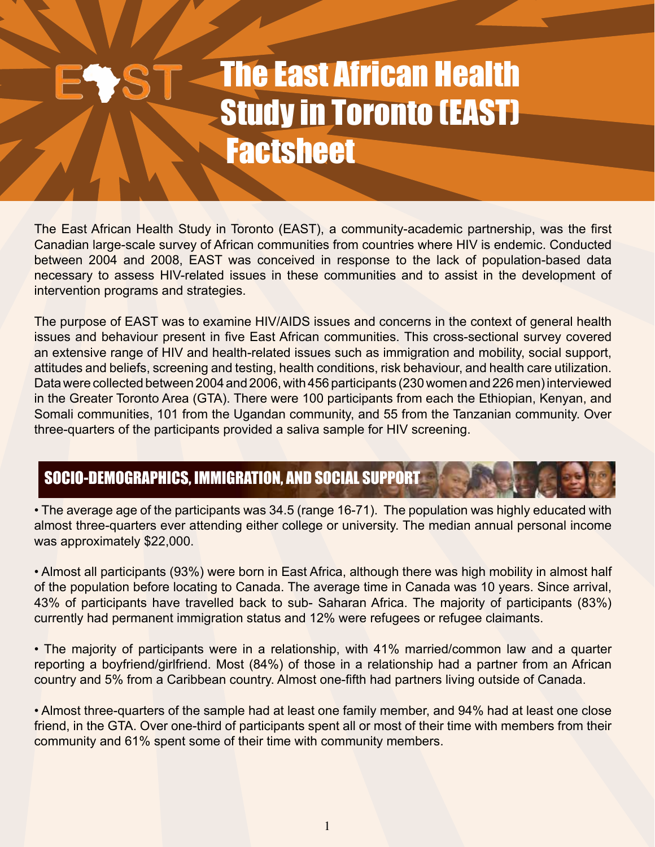# The East African Health Study in Toronto (EAST) **Factsheet**

The East African Health Study in Toronto (EAST), a community-academic partnership, was the first Canadian large-scale survey of African communities from countries where HIV is endemic. Conducted between 2004 and 2008, EAST was conceived in response to the lack of population-based data necessary to assess HIV-related issues in these communities and to assist in the development of intervention programs and strategies.

The purpose of EAST was to examine HIV/AIDS issues and concerns in the context of general health issues and behaviour present in five East African communities. This cross-sectional survey covered an extensive range of HIV and health-related issues such as immigration and mobility, social support, attitudes and beliefs, screening and testing, health conditions, risk behaviour, and health care utilization. Data were collected between 2004 and 2006, with 456 participants (230 women and 226 men) interviewed in the Greater Toronto Area (GTA). There were 100 participants from each the Ethiopian, Kenyan, and Somali communities, 101 from the Ugandan community, and 55 from the Tanzanian community. Over three-quarters of the participants provided a saliva sample for HIV screening.

## SOCIO-DEMOGRAPHICS, IMMIGRATION, AND SOCIAL SUPPORT

• The average age of the participants was 34.5 (range 16-71). The population was highly educated with almost three-quarters ever attending either college or university. The median annual personal income was approximately \$22,000.

• Almost all participants (93%) were born in East Africa, although there was high mobility in almost half of the population before locating to Canada. The average time in Canada was 10 years. Since arrival, 43% of participants have travelled back to sub- Saharan Africa. The majority of participants (83%) currently had permanent immigration status and 12% were refugees or refugee claimants.

• The majority of participants were in a relationship, with 41% married/common law and a quarter reporting a boyfriend/girlfriend. Most (84%) of those in a relationship had a partner from an African country and 5% from a Caribbean country. Almost one-fifth had partners living outside of Canada.

• Almost three-quarters of the sample had at least one family member, and 94% had at least one close friend, in the GTA. Over one-third of participants spent all or most of their time with members from their community and 61% spent some of their time with community members.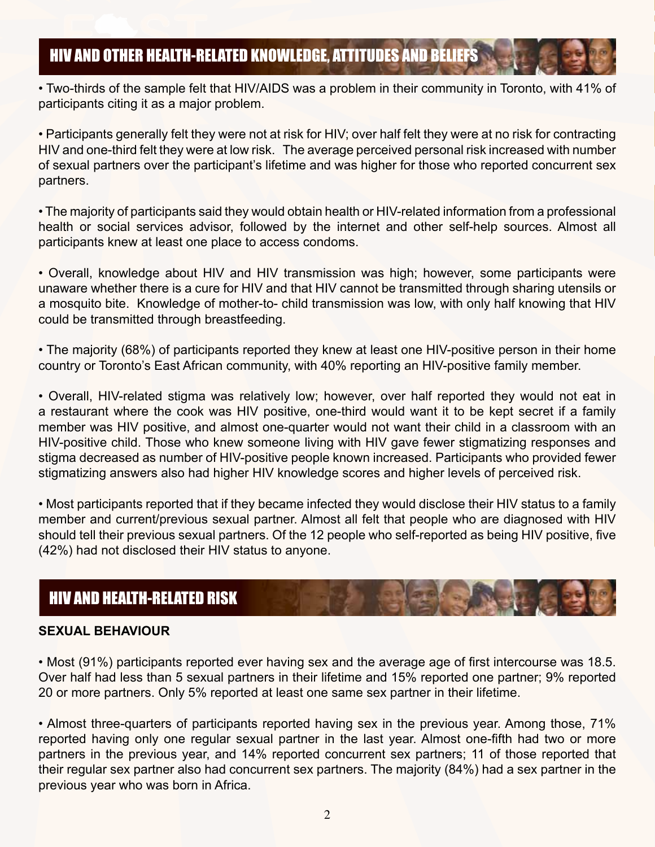• Two-thirds of the sample felt that HIV/AIDS was a problem in their community in Toronto, with 41% of participants citing it as a major problem.

• Participants generally felt they were not at risk for HIV; over half felt they were at no risk for contracting HIV and one-third felt they were at low risk. The average perceived personal risk increased with number of sexual partners over the participant's lifetime and was higher for those who reported concurrent sex partners.

• The majority of participants said they would obtain health or HIV-related information from a professional health or social services advisor, followed by the internet and other self-help sources. Almost all participants knew at least one place to access condoms.

• Overall, knowledge about HIV and HIV transmission was high; however, some participants were unaware whether there is a cure for HIV and that HIV cannot be transmitted through sharing utensils or a mosquito bite. Knowledge of mother-to- child transmission was low, with only half knowing that HIV could be transmitted through breastfeeding.

• The majority (68%) of participants reported they knew at least one HIV-positive person in their home country or Toronto's East African community, with 40% reporting an HIV-positive family member.

• Overall, HIV-related stigma was relatively low; however, over half reported they would not eat in a restaurant where the cook was HIV positive, one-third would want it to be kept secret if a family member was HIV positive, and almost one-quarter would not want their child in a classroom with an HIV-positive child. Those who knew someone living with HIV gave fewer stigmatizing responses and stigma decreased as number of HIV-positive people known increased. Participants who provided fewer stigmatizing answers also had higher HIV knowledge scores and higher levels of perceived risk.

• Most participants reported that if they became infected they would disclose their HIV status to a family member and current/previous sexual partner. Almost all felt that people who are diagnosed with HIV should tell their previous sexual partners. Of the 12 people who self-reported as being HIV positive, five (42%) had not disclosed their HIV status to anyone.

## HIV AND HEALTH-RELATED RISK

## **SEXUAL BEHAVIOUR**

• Most (91%) participants reported ever having sex and the average age of first intercourse was 18.5. Over half had less than 5 sexual partners in their lifetime and 15% reported one partner; 9% reported 20 or more partners. Only 5% reported at least one same sex partner in their lifetime.

• Almost three-quarters of participants reported having sex in the previous year. Among those, 71% reported having only one regular sexual partner in the last year. Almost one-fifth had two or more partners in the previous year, and 14% reported concurrent sex partners; 11 of those reported that their regular sex partner also had concurrent sex partners. The majority (84%) had a sex partner in the previous year who was born in Africa.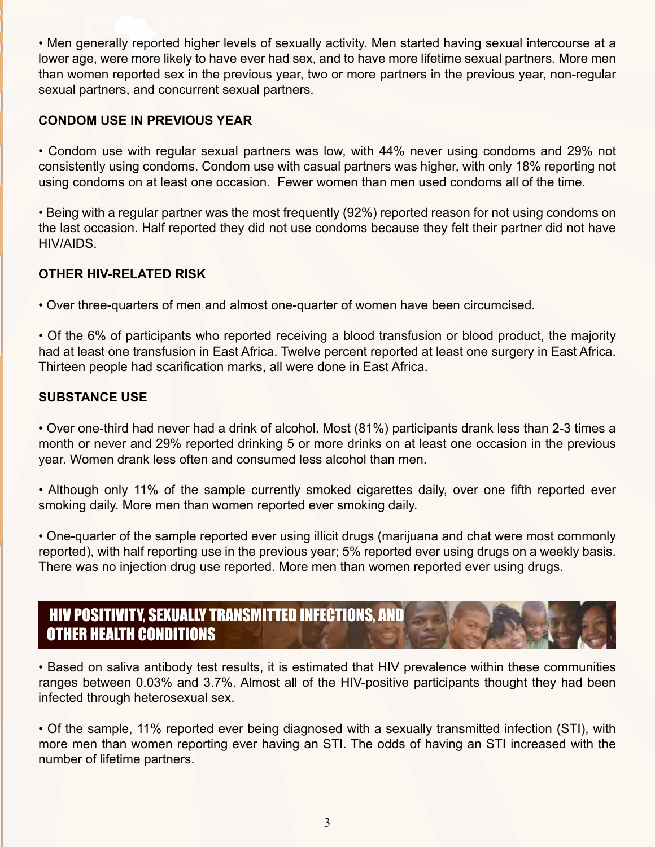• Men generally reported higher levels of sexually activity. Men started having sexual intercourse at a lower age, were more likely to have ever had sex, and to have more lifetime sexual partners. More men than women reported sex in the previous year, two or more partners in the previous year, non-regular sexual partners, and concurrent sexual partners.

## **CONDOM USE IN PREVIOUS YEAR**

• Condom use with regular sexual partners was low, with 44% never using condoms and 29% not consistently using condoms. Condom use with casual partners was higher, with only 18% reporting not using condoms on at least one occasion. Fewer women than men used condoms all of the time.

• Being with a regular partner was the most frequently (92%) reported reason for not using condoms on the last occasion. Half reported they did not use condoms because they felt their partner did not have HIV/AIDS.

## **OTHER HIV-RELATED RISK**

• Over three-quarters of men and almost one-quarter of women have been circumcised.

• Of the 6% of participants who reported receiving a blood transfusion or blood product, the majority had at least one transfusion in East Africa. Twelve percent reported at least one surgery in East Africa. Thirteen people had scarification marks, all were done in East Africa.

## **SUBSTANCE USE**

• Over one-third had never had a drink of alcohol. Most (81%) participants drank less than 2-3 times a month or never and 29% reported drinking 5 or more drinks on at least one occasion in the previous year. Women drank less often and consumed less alcohol than men.

• Although only 11% of the sample currently smoked cigarettes daily, over one fifth reported ever smoking daily. More men than women reported ever smoking daily.

• One-quarter of the sample reported ever using illicit drugs (marijuana and chat were most commonly reported), with half reporting use in the previous year; 5% reported ever using drugs on a weekly basis. There was no injection drug use reported. More men than women reported ever using drugs.

## HIV POSITIVITY, SEXUALLY TRANSMITTED INFECTIONS, AND OTHER HEALTH CONDITIONS

• Based on saliva antibody test results, it is estimated that HIV prevalence within these communities ranges between 0.03% and 3.7%. Almost all of the HIV-positive participants thought they had been infected through heterosexual sex.

• Of the sample, 11% reported ever being diagnosed with a sexually transmitted infection (STI), with more men than women reporting ever having an STI. The odds of having an STI increased with the number of lifetime partners.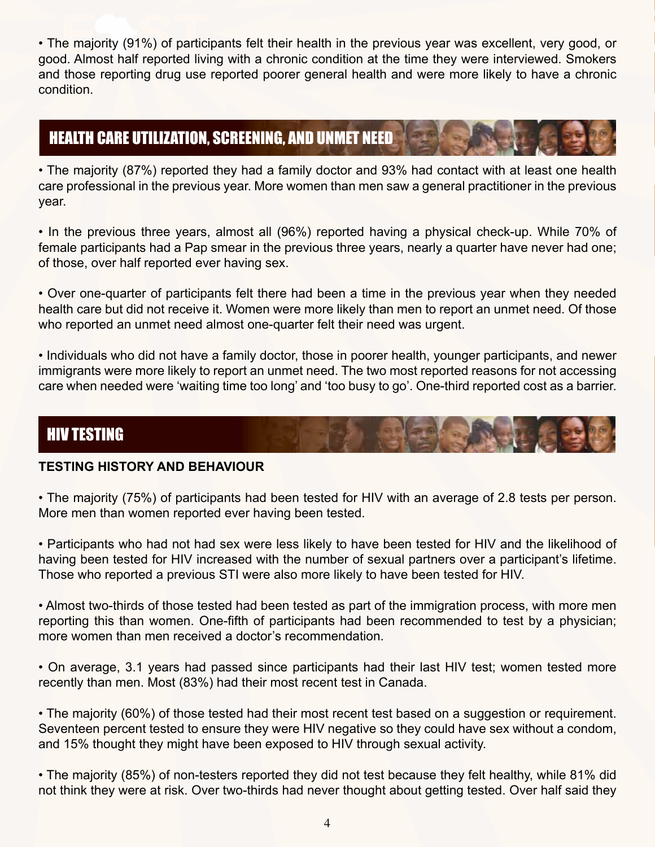• The majority (91%) of participants felt their health in the previous year was excellent, very good, or good. Almost half reported living with a chronic condition at the time they were interviewed. Smokers and those reporting drug use reported poorer general health and were more likely to have a chronic condition.

## HEALTH CARE UTILIZATION, SCREENING, AND UNMET NEED

• The majority (87%) reported they had a family doctor and 93% had contact with at least one health care professional in the previous year. More women than men saw a general practitioner in the previous year.

• In the previous three years, almost all (96%) reported having a physical check-up. While 70% of female participants had a Pap smear in the previous three years, nearly a quarter have never had one; of those, over half reported ever having sex.

• Over one-quarter of participants felt there had been a time in the previous year when they needed health care but did not receive it. Women were more likely than men to report an unmet need. Of those who reported an unmet need almost one-quarter felt their need was urgent.

• Individuals who did not have a family doctor, those in poorer health, younger participants, and newer immigrants were more likely to report an unmet need. The two most reported reasons for not accessing care when needed were 'waiting time too long' and 'too busy to go'. One-third reported cost as a barrier.

## HIV TESTING

## **TESTING HISTORY AND BEHAVIOUR**

• The majority (75%) of participants had been tested for HIV with an average of 2.8 tests per person. More men than women reported ever having been tested.

• Participants who had not had sex were less likely to have been tested for HIV and the likelihood of having been tested for HIV increased with the number of sexual partners over a participant's lifetime. Those who reported a previous STI were also more likely to have been tested for HIV.

• Almost two-thirds of those tested had been tested as part of the immigration process, with more men reporting this than women. One-fifth of participants had been recommended to test by a physician; more women than men received a doctor's recommendation.

• On average, 3.1 years had passed since participants had their last HIV test; women tested more recently than men. Most (83%) had their most recent test in Canada.

• The majority (60%) of those tested had their most recent test based on a suggestion or requirement. Seventeen percent tested to ensure they were HIV negative so they could have sex without a condom, and 15% thought they might have been exposed to HIV through sexual activity.

• The majority (85%) of non-testers reported they did not test because they felt healthy, while 81% did not think they were at risk. Over two-thirds had never thought about getting tested. Over half said they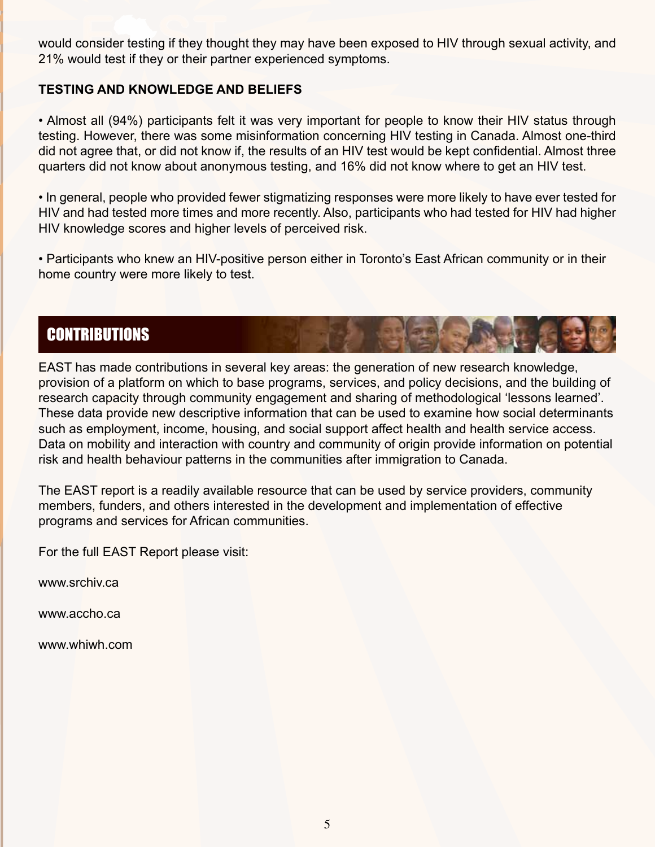would consider testing if they thought they may have been exposed to HIV through sexual activity, and 21% would test if they or their partner experienced symptoms.

#### **TESTING AND KNOWLEDGE AND BELIEFS**

• Almost all (94%) participants felt it was very important for people to know their HIV status through testing. However, there was some misinformation concerning HIV testing in Canada. Almost one-third did not agree that, or did not know if, the results of an HIV test would be kept confidential. Almost three quarters did not know about anonymous testing, and 16% did not know where to get an HIV test.

• In general, people who provided fewer stigmatizing responses were more likely to have ever tested for HIV and had tested more times and more recently. Also, participants who had tested for HIV had higher HIV knowledge scores and higher levels of perceived risk.

• Participants who knew an HIV-positive person either in Toronto's East African community or in their home country were more likely to test.

## **CONTRIBUTIONS**

EAST has made contributions in several key areas: the generation of new research knowledge, provision of a platform on which to base programs, services, and policy decisions, and the building of research capacity through community engagement and sharing of methodological 'lessons learned'. These data provide new descriptive information that can be used to examine how social determinants such as employment, income, housing, and social support affect health and health service access. Data on mobility and interaction with country and community of origin provide information on potential risk and health behaviour patterns in the communities after immigration to Canada.

The EAST report is a readily available resource that can be used by service providers, community members, funders, and others interested in the development and implementation of effective programs and services for African communities.

For the full EAST Report please visit:

www.srchiv.ca

www.accho.ca

www.whiwh.com